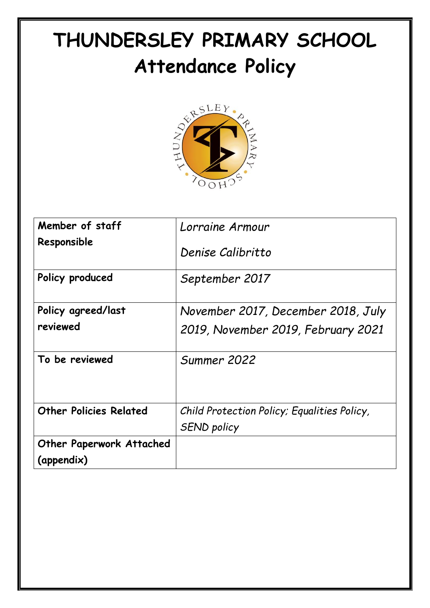# **THUNDERSLEY PRIMARY SCHOOL**



| Member of staff                               | Lorraine Armour                             |
|-----------------------------------------------|---------------------------------------------|
| Responsible                                   | Denise Calibritto                           |
| Policy produced                               | September 2017                              |
| Policy agreed/last                            | November 2017, December 2018, July          |
| reviewed                                      | 2019, November 2019, February 2021          |
| To be reviewed                                | Summer 2022                                 |
| <b>Other Policies Related</b>                 | Child Protection Policy; Equalities Policy, |
|                                               | <b>SEND policy</b>                          |
| <b>Other Paperwork Attached</b><br>(appendix) |                                             |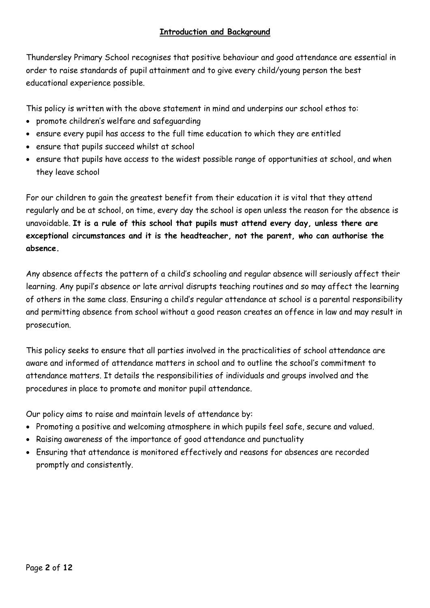Thundersley Primary School recognises that positive behaviour and good attendance are essential in order to raise standards of pupil attainment and to give every child/young person the best educational experience possible.

This policy is written with the above statement in mind and underpins our school ethos to:

- promote children's welfare and safeguarding
- ensure every pupil has access to the full time education to which they are entitled
- ensure that pupils succeed whilst at school
- ensure that pupils have access to the widest possible range of opportunities at school, and when they leave school

For our children to gain the greatest benefit from their education it is vital that they attend regularly and be at school, on time, every day the school is open unless the reason for the absence is unavoidable. **It is a rule of this school that pupils must attend every day, unless there are exceptional circumstances and it is the headteacher, not the parent, who can authorise the absence.**

Any absence affects the pattern of a child's schooling and regular absence will seriously affect their learning. Any pupil's absence or late arrival disrupts teaching routines and so may affect the learning of others in the same class. Ensuring a child's regular attendance at school is a parental responsibility and permitting absence from school without a good reason creates an offence in law and may result in prosecution.

This policy seeks to ensure that all parties involved in the practicalities of school attendance are aware and informed of attendance matters in school and to outline the school's commitment to attendance matters. It details the responsibilities of individuals and groups involved and the procedures in place to promote and monitor pupil attendance.

Our policy aims to raise and maintain levels of attendance by:

- Promoting a positive and welcoming atmosphere in which pupils feel safe, secure and valued.
- Raising awareness of the importance of good attendance and punctuality
- Ensuring that attendance is monitored effectively and reasons for absences are recorded promptly and consistently.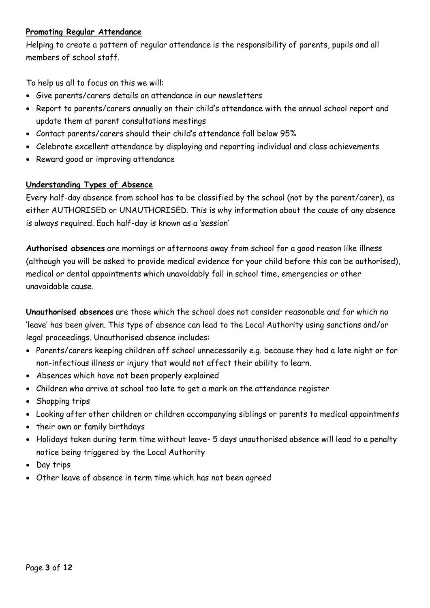## **Promoting Regular Attendance**

Helping to create a pattern of regular attendance is the responsibility of parents, pupils and all members of school staff.

To help us all to focus on this we will:

- Give parents/carers details on attendance in our newsletters
- Report to parents/carers annually on their child's attendance with the annual school report and update them at parent consultations meetings
- Contact parents/carers should their child's attendance fall below 95%
- Celebrate excellent attendance by displaying and reporting individual and class achievements
- Reward good or improving attendance

# **Understanding Types of Absence**

Every half-day absence from school has to be classified by the school (not by the parent/carer), as either AUTHORISED or UNAUTHORISED. This is why information about the cause of any absence is always required. Each half-day is known as a 'session'

**Authorised absences** are mornings or afternoons away from school for a good reason like illness (although you will be asked to provide medical evidence for your child before this can be authorised), medical or dental appointments which unavoidably fall in school time, emergencies or other unavoidable cause.

**Unauthorised absences** are those which the school does not consider reasonable and for which no 'leave' has been given. This type of absence can lead to the Local Authority using sanctions and/or legal proceedings. Unauthorised absence includes:

- Parents/carers keeping children off school unnecessarily e.g. because they had a late night or for non-infectious illness or injury that would not affect their ability to learn.
- Absences which have not been properly explained
- Children who arrive at school too late to get a mark on the attendance register
- Shopping trips
- Looking after other children or children accompanying siblings or parents to medical appointments
- their own or family birthdays
- Holidays taken during term time without leave- 5 days unauthorised absence will lead to a penalty notice being triggered by the Local Authority
- Day trips
- Other leave of absence in term time which has not been agreed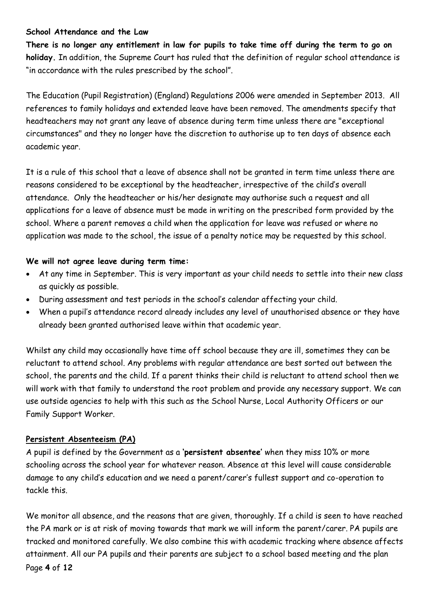## **School Attendance and the Law**

**There is no longer any entitlement in law for pupils to take time off during the term to go on holiday.** In addition, the Supreme Court has ruled that the definition of regular school attendance is "in accordance with the rules prescribed by the school".

The Education (Pupil Registration) (England) Regulations 2006 were amended in September 2013. All references to family holidays and extended leave have been removed. The amendments specify that headteachers may not grant any leave of absence during term time unless there are "exceptional circumstances" and they no longer have the discretion to authorise up to ten days of absence each academic year.

It is a rule of this school that a leave of absence shall not be granted in term time unless there are reasons considered to be exceptional by the headteacher, irrespective of the child's overall attendance. Only the headteacher or his/her designate may authorise such a request and all applications for a leave of absence must be made in writing on the prescribed form provided by the school. Where a parent removes a child when the application for leave was refused or where no application was made to the school, the issue of a penalty notice may be requested by this school.

## **We will not agree leave during term time:**

- At any time in September. This is very important as your child needs to settle into their new class as quickly as possible.
- During assessment and test periods in the school's calendar affecting your child.
- When a pupil's attendance record already includes any level of unauthorised absence or they have already been granted authorised leave within that academic year.

Whilst any child may occasionally have time off school because they are ill, sometimes they can be reluctant to attend school. Any problems with regular attendance are best sorted out between the school, the parents and the child. If a parent thinks their child is reluctant to attend school then we will work with that family to understand the root problem and provide any necessary support. We can use outside agencies to help with this such as the School Nurse, Local Authority Officers or our Family Support Worker.

# **Persistent Absenteeism (PA)**

A pupil is defined by the Government as a **'persistent absentee'** when they miss 10% or more schooling across the school year for whatever reason. Absence at this level will cause considerable damage to any child's education and we need a parent/carer's fullest support and co-operation to tackle this.

Page **4** of **12** We monitor all absence, and the reasons that are given, thoroughly. If a child is seen to have reached the PA mark or is at risk of moving towards that mark we will inform the parent/carer. PA pupils are tracked and monitored carefully. We also combine this with academic tracking where absence affects attainment. All our PA pupils and their parents are subject to a school based meeting and the plan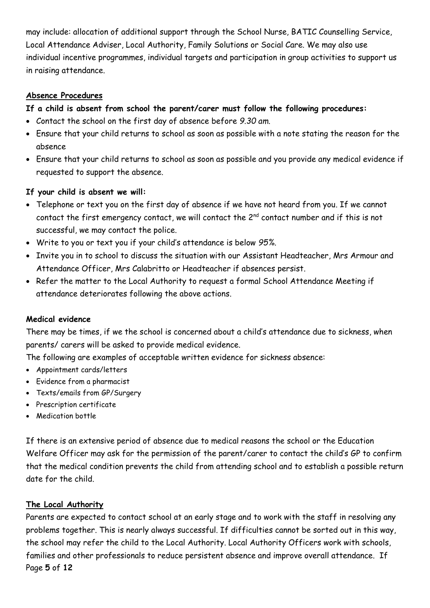may include: allocation of additional support through the School Nurse, BATIC Counselling Service, Local Attendance Adviser, Local Authority, Family Solutions or Social Care. We may also use individual incentive programmes, individual targets and participation in group activities to support us in raising attendance.

## **Absence Procedures**

# **If a child is absent from school the parent/carer must follow the following procedures:**

- Contact the school on the first day of absence before *9.30 am*.
- Ensure that your child returns to school as soon as possible with a note stating the reason for the absence
- Ensure that your child returns to school as soon as possible and you provide any medical evidence if requested to support the absence.

# **If your child is absent we will:**

- Telephone or text you on the first day of absence if we have not heard from you. If we cannot contact the first emergency contact, we will contact the  $2^{nd}$  contact number and if this is not successful, we may contact the police.
- Write to you or text you if your child's attendance is below *95%.*
- Invite you in to school to discuss the situation with our Assistant Headteacher, Mrs Armour and Attendance Officer, Mrs Calabritto or Headteacher if absences persist.
- Refer the matter to the Local Authority to request a formal School Attendance Meeting if attendance deteriorates following the above actions.

# **Medical evidence**

There may be times, if we the school is concerned about a child's attendance due to sickness, when parents/ carers will be asked to provide medical evidence.

The following are examples of acceptable written evidence for sickness absence:

- Appointment cards/letters
- Evidence from a pharmacist
- Texts/emails from GP/Surgery
- Prescription certificate
- Medication bottle

If there is an extensive period of absence due to medical reasons the school or the Education Welfare Officer may ask for the permission of the parent/carer to contact the child's GP to confirm that the medical condition prevents the child from attending school and to establish a possible return date for the child.

# **The Local Authority**

Page **5** of **12** Parents are expected to contact school at an early stage and to work with the staff in resolving any problems together. This is nearly always successful. If difficulties cannot be sorted out in this way, the school may refer the child to the Local Authority. Local Authority Officers work with schools, families and other professionals to reduce persistent absence and improve overall attendance. If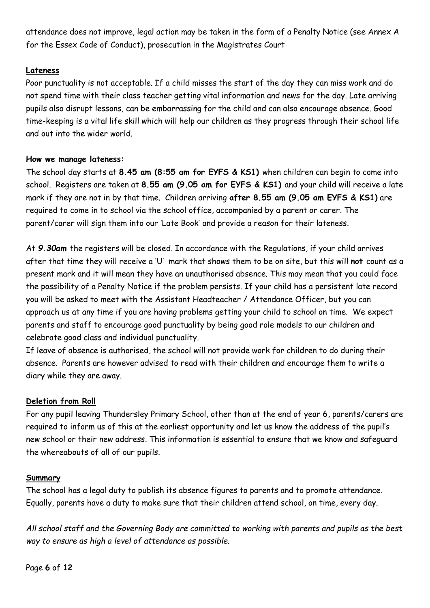attendance does not improve, legal action may be taken in the form of a Penalty Notice (see Annex A for the Essex Code of Conduct), prosecution in the Magistrates Court

## **Lateness**

Poor punctuality is not acceptable. If a child misses the start of the day they can miss work and do not spend time with their class teacher getting vital information and news for the day. Late arriving pupils also disrupt lessons, can be embarrassing for the child and can also encourage absence. Good time-keeping is a vital life skill which will help our children as they progress through their school life and out into the wider world.

## **How we manage lateness:**

The school day starts at **8.45 am (8:55 am for EYFS & KS1)** when children can begin to come into school. Registers are taken at **8.55 am (9.05 am for EYFS & KS1)** and your child will receive a late mark if they are not in by that time. Children arriving **after 8.55 am (9.05 am EYFS & KS1)** are required to come in to school via the school office, accompanied by a parent or carer. The parent/carer will sign them into our 'Late Book' and provide a reason for their lateness.

At *9.30am* the registers will be closed. In accordance with the Regulations, if your child arrives after that time they will receive a 'U' mark that shows them to be on site, but this will **not** count as a present mark and it will mean they have an unauthorised absence. This may mean that you could face the possibility of a Penalty Notice if the problem persists. If your child has a persistent late record you will be asked to meet with the Assistant Headteacher / Attendance Officer, but you can approach us at any time if you are having problems getting your child to school on time. We expect parents and staff to encourage good punctuality by being good role models to our children and celebrate good class and individual punctuality.

If leave of absence is authorised, the school will not provide work for children to do during their absence. Parents are however advised to read with their children and encourage them to write a diary while they are away.

# **Deletion from Roll**

For any pupil leaving Thundersley Primary School, other than at the end of year 6, parents/carers are required to inform us of this at the earliest opportunity and let us know the address of the pupil's new school or their new address. This information is essential to ensure that we know and safeguard the whereabouts of all of our pupils.

# **Summary**

The school has a legal duty to publish its absence figures to parents and to promote attendance. Equally, parents have a duty to make sure that their children attend school, on time, every day.

*All school staff and the Governing Body are committed to working with parents and pupils as the best way to ensure as high a level of attendance as possible.*

Page **6** of **12**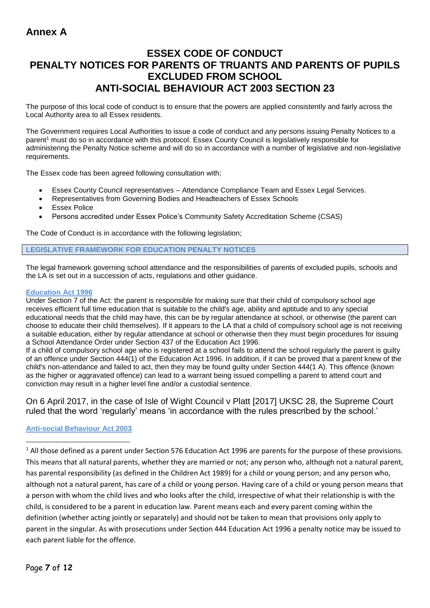# **ESSEX CODE OF CONDUCT PENALTY NOTICES FOR PARENTS OF TRUANTS AND PARENTS OF PUPILS EXCLUDED FROM SCHOOL ANTI-SOCIAL BEHAVIOUR ACT 2003 SECTION 23**

The purpose of this local code of conduct is to ensure that the powers are applied consistently and fairly across the Local Authority area to all Essex residents.

The Government requires Local Authorities to issue a code of conduct and any persons issuing Penalty Notices to a parent<sup>1</sup> must do so in accordance with this protocol. Essex County Council is legislatively responsible for administering the Penalty Notice scheme and will do so in accordance with a number of legislative and non-legislative requirements.

The Essex code has been agreed following consultation with;

- Essex County Council representatives Attendance Compliance Team and Essex Legal Services.
- Representatives from Governing Bodies and Headteachers of Essex Schools
- Essex Police
- Persons accredited under Essex Police's Community Safety Accreditation Scheme (CSAS)

The Code of Conduct is in accordance with the following legislation;

## **LEGISLATIVE FRAMEWORK FOR EDUCATION PENALTY NOTICES**

The legal framework governing school attendance and the responsibilities of parents of excluded pupils, schools and the LA is set out in a succession of acts, regulations and other guidance.

## **Education Act 1996**

Under Section 7 of the Act: the parent is responsible for making sure that their child of compulsory school age receives efficient full time education that is suitable to the child's age, ability and aptitude and to any special educational needs that the child may have, this can be by regular attendance at school, or otherwise (the parent can choose to educate their child themselves). If it appears to the LA that a child of compulsory school age is not receiving a suitable education, either by regular attendance at school or otherwise then they must begin procedures for issuing a School Attendance Order under Section 437 of the Education Act 1996.

If a child of compulsory school age who is registered at a school fails to attend the school regularly the parent is guilty of an offence under Section 444(1) of the Education Act 1996. In addition, if it can be proved that a parent knew of the child's non-attendance and failed to act, then they may be found guilty under Section 444(1 A). This offence (known as the higher or aggravated offence) can lead to a warrant being issued compelling a parent to attend court and conviction may result in a higher level fine and/or a custodial sentence.

On 6 April 2017, in the case of Isle of Wight Council v Platt [2017] UKSC 28, the Supreme Court ruled that the word 'regularly' means 'in accordance with the rules prescribed by the school.'

## **Anti-social Behaviour Act 2003**

 $1$  All those defined as a parent under Section 576 Education Act 1996 are parents for the purpose of these provisions. This means that all natural parents, whether they are married or not; any person who, although not a natural parent, has parental responsibility (as defined in the Children Act 1989) for a child or young person; and any person who, although not a natural parent, has care of a child or young person. Having care of a child or young person means that a person with whom the child lives and who looks after the child, irrespective of what their relationship is with the child, is considered to be a parent in education law. Parent means each and every parent coming within the definition (whether acting jointly or separately) and should not be taken to mean that provisions only apply to parent in the singular. As with prosecutions under Section 444 Education Act 1996 a penalty notice may be issued to each parent liable for the offence.

 $\overline{a}$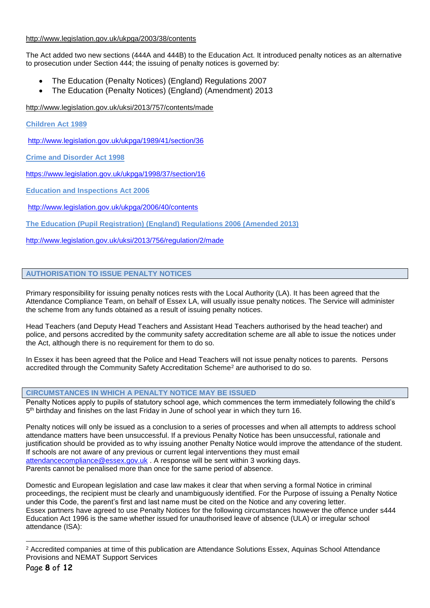## <http://www.legislation.gov.uk/ukpga/2003/38/contents>

The Act added two new sections (444A and 444B) to the Education Act. It introduced penalty notices as an alternative to prosecution under Section 444; the issuing of penalty notices is governed by:

- The Education (Penalty Notices) (England) Regulations 2007
- The Education (Penalty Notices) (England) (Amendment) 2013

<http://www.legislation.gov.uk/uksi/2013/757/contents/made>

**Children Act 1989** 

<http://www.legislation.gov.uk/ukpga/1989/41/section/36>

**Crime and Disorder Act 1998** 

<https://www.legislation.gov.uk/ukpga/1998/37/section/16>

**Education and Inspections Act 2006** 

<http://www.legislation.gov.uk/ukpga/2006/40/contents>

**The Education (Pupil Registration) (England) Regulations 2006 (Amended 2013)**

<http://www.legislation.gov.uk/uksi/2013/756/regulation/2/made>

## **AUTHORISATION TO ISSUE PENALTY NOTICES**

Primary responsibility for issuing penalty notices rests with the Local Authority (LA). It has been agreed that the Attendance Compliance Team, on behalf of Essex LA, will usually issue penalty notices. The Service will administer the scheme from any funds obtained as a result of issuing penalty notices.

Head Teachers (and Deputy Head Teachers and Assistant Head Teachers authorised by the head teacher) and police, and persons accredited by the community safety accreditation scheme are all able to issue the notices under the Act, although there is no requirement for them to do so.

In Essex it has been agreed that the Police and Head Teachers will not issue penalty notices to parents. Persons accredited through the Community Safety Accreditation Scheme<sup>2</sup> are authorised to do so.

## **CIRCUMSTANCES IN WHICH A PENALTY NOTICE MAY BE ISSUED**

Penalty Notices apply to pupils of statutory school age, which commences the term immediately following the child's 5<sup>th</sup> birthday and finishes on the last Friday in June of school year in which they turn 16.

Penalty notices will only be issued as a conclusion to a series of processes and when all attempts to address school attendance matters have been unsuccessful. If a previous Penalty Notice has been unsuccessful, rationale and justification should be provided as to why issuing another Penalty Notice would improve the attendance of the student. If schools are not aware of any previous or current legal interventions they must email [attendancecompliance@essex.gov.uk](mailto:attendancecompliance@essex.gov.uk) . A response will be sent within 3 working days. Parents cannot be penalised more than once for the same period of absence.

Domestic and European legislation and case law makes it clear that when serving a formal Notice in criminal proceedings, the recipient must be clearly and unambiguously identified. For the Purpose of issuing a Penalty Notice under this Code, the parent's first and last name must be cited on the Notice and any covering letter. Essex partners have agreed to use Penalty Notices for the following circumstances however the offence under s444 Education Act 1996 is the same whether issued for unauthorised leave of absence (ULA) or irregular school attendance (ISA):

<sup>1</sup> <sup>2</sup> Accredited companies at time of this publication are Attendance Solutions Essex, Aquinas School Attendance Provisions and NEMAT Support Services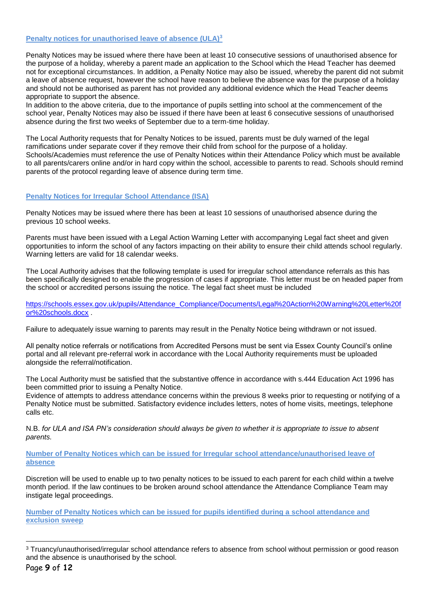## **Penalty notices for unauthorised leave of absence (ULA)<sup>3</sup>**

Penalty Notices may be issued where there have been at least 10 consecutive sessions of unauthorised absence for the purpose of a holiday, whereby a parent made an application to the School which the Head Teacher has deemed not for exceptional circumstances. In addition, a Penalty Notice may also be issued, whereby the parent did not submit a leave of absence request, however the school have reason to believe the absence was for the purpose of a holiday and should not be authorised as parent has not provided any additional evidence which the Head Teacher deems appropriate to support the absence.

In addition to the above criteria, due to the importance of pupils settling into school at the commencement of the school year, Penalty Notices may also be issued if there have been at least 6 consecutive sessions of unauthorised absence during the first two weeks of September due to a term-time holiday.

The Local Authority requests that for Penalty Notices to be issued, parents must be duly warned of the legal ramifications under separate cover if they remove their child from school for the purpose of a holiday. Schools/Academies must reference the use of Penalty Notices within their Attendance Policy which must be available to all parents/carers online and/or in hard copy within the school, accessible to parents to read. Schools should remind parents of the protocol regarding leave of absence during term time.

#### **Penalty Notices for Irregular School Attendance (ISA)**

Penalty Notices may be issued where there has been at least 10 sessions of unauthorised absence during the previous 10 school weeks.

Parents must have been issued with a Legal Action Warning Letter with accompanying Legal fact sheet and given opportunities to inform the school of any factors impacting on their ability to ensure their child attends school regularly. Warning letters are valid for 18 calendar weeks.

The Local Authority advises that the following template is used for irregular school attendance referrals as this has been specifically designed to enable the progression of cases if appropriate. This letter must be on headed paper from the school or accredited persons issuing the notice. The legal fact sheet must be included

[https://schools.essex.gov.uk/pupils/Attendance\\_Compliance/Documents/Legal%20Action%20Warning%20Letter%20f](https://schools.essex.gov.uk/pupils/Attendance_Compliance/Documents/Legal%20Action%20Warning%20Letter%20for%20schools.docx) [or%20schools.docx](https://schools.essex.gov.uk/pupils/Attendance_Compliance/Documents/Legal%20Action%20Warning%20Letter%20for%20schools.docx) .

Failure to adequately issue warning to parents may result in the Penalty Notice being withdrawn or not issued.

All penalty notice referrals or notifications from Accredited Persons must be sent via Essex County Council's online portal and all relevant pre-referral work in accordance with the Local Authority requirements must be uploaded alongside the referral/notification.

The Local Authority must be satisfied that the substantive offence in accordance with s.444 Education Act 1996 has been committed prior to issuing a Penalty Notice.

Evidence of attempts to address attendance concerns within the previous 8 weeks prior to requesting or notifying of a Penalty Notice must be submitted. Satisfactory evidence includes letters, notes of home visits, meetings, telephone calls etc.

N.B. *for ULA and ISA PN's consideration should always be given to whether it is appropriate to issue to absent parents.*

**Number of Penalty Notices which can be issued for Irregular school attendance/unauthorised leave of absence**

Discretion will be used to enable up to two penalty notices to be issued to each parent for each child within a twelve month period. If the law continues to be broken around school attendance the Attendance Compliance Team may instigate legal proceedings.

**Number of Penalty Notices which can be issued for pupils identified during a school attendance and exclusion sweep** 

1

<sup>3</sup> Truancy/unauthorised/irregular school attendance refers to absence from school without permission or good reason and the absence is unauthorised by the school.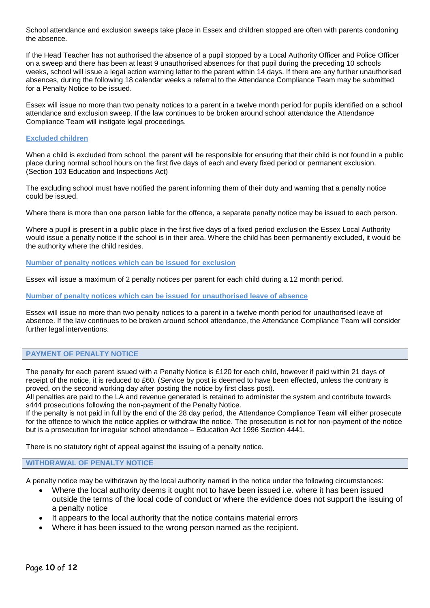School attendance and exclusion sweeps take place in Essex and children stopped are often with parents condoning the absence.

If the Head Teacher has not authorised the absence of a pupil stopped by a Local Authority Officer and Police Officer on a sweep and there has been at least 9 unauthorised absences for that pupil during the preceding 10 schools weeks, school will issue a legal action warning letter to the parent within 14 days. If there are any further unauthorised absences, during the following 18 calendar weeks a referral to the Attendance Compliance Team may be submitted for a Penalty Notice to be issued.

Essex will issue no more than two penalty notices to a parent in a twelve month period for pupils identified on a school attendance and exclusion sweep. If the law continues to be broken around school attendance the Attendance Compliance Team will instigate legal proceedings.

### **Excluded children**

When a child is excluded from school, the parent will be responsible for ensuring that their child is not found in a public place during normal school hours on the first five days of each and every fixed period or permanent exclusion. (Section 103 Education and Inspections Act)

The excluding school must have notified the parent informing them of their duty and warning that a penalty notice could be issued.

Where there is more than one person liable for the offence, a separate penalty notice may be issued to each person.

Where a pupil is present in a public place in the first five days of a fixed period exclusion the Essex Local Authority would issue a penalty notice if the school is in their area. Where the child has been permanently excluded, it would be the authority where the child resides.

**Number of penalty notices which can be issued for exclusion**

Essex will issue a maximum of 2 penalty notices per parent for each child during a 12 month period.

**Number of penalty notices which can be issued for unauthorised leave of absence** 

Essex will issue no more than two penalty notices to a parent in a twelve month period for unauthorised leave of absence. If the law continues to be broken around school attendance, the Attendance Compliance Team will consider further legal interventions.

#### **PAYMENT OF PENALTY NOTICE**

The penalty for each parent issued with a Penalty Notice is £120 for each child, however if paid within 21 days of receipt of the notice, it is reduced to £60. (Service by post is deemed to have been effected, unless the contrary is proved, on the second working day after posting the notice by first class post).

All penalties are paid to the LA and revenue generated is retained to administer the system and contribute towards s444 prosecutions following the non-payment of the Penalty Notice.

If the penalty is not paid in full by the end of the 28 day period, the Attendance Compliance Team will either prosecute for the offence to which the notice applies or withdraw the notice. The prosecution is not for non-payment of the notice but is a prosecution for irregular school attendance – Education Act 1996 Section 4441.

There is no statutory right of appeal against the issuing of a penalty notice.

#### **WITHDRAWAL OF PENALTY NOTICE**

A penalty notice may be withdrawn by the local authority named in the notice under the following circumstances:

- Where the local authority deems it ought not to have been issued i.e. where it has been issued outside the terms of the local code of conduct or where the evidence does not support the issuing of a penalty notice
- It appears to the local authority that the notice contains material errors
- Where it has been issued to the wrong person named as the recipient.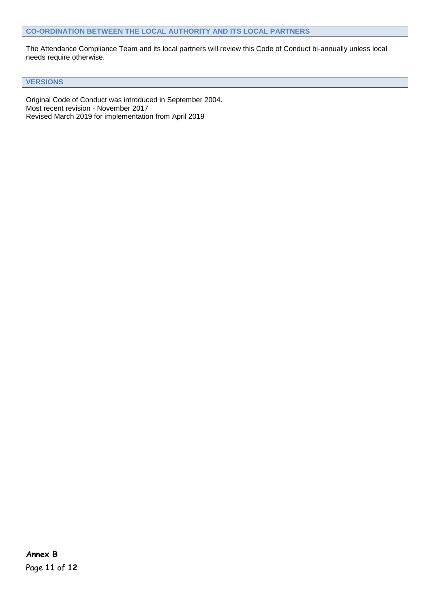The Attendance Compliance Team and its local partners will review this Code of Conduct bi-annually unless local needs require otherwise.

**VERSIONS**

Original Code of Conduct was introduced in September 2004. Most recent revision - November 2017 Revised March 2019 for implementation from April 2019

Page **11** of **12 Annex B**